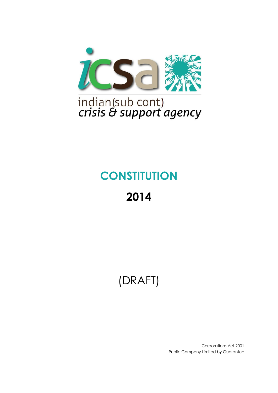

# **CONSTITUTION**

# **2014**

# (DRAFT)

Corporations Act 2001 Public Company Limited by Guarantee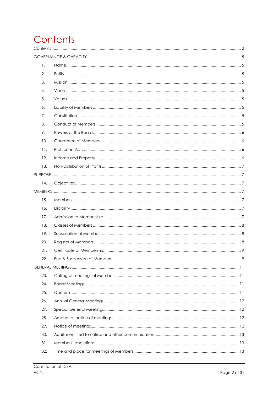# <span id="page-1-0"></span>Contents

| 1.  |  |
|-----|--|
| 2.  |  |
| 3.  |  |
| 4.  |  |
| 5.  |  |
| 6.  |  |
| 7.  |  |
| 8.  |  |
| 9.  |  |
| 10. |  |
| 11. |  |
| 12. |  |
| 13. |  |
|     |  |
| 14. |  |
|     |  |
| 15. |  |
| 16. |  |
| 17. |  |
| 18. |  |
| 19. |  |
| 20. |  |
| 21. |  |
| 22. |  |
|     |  |
| 23. |  |
| 24. |  |
| 25. |  |
| 26. |  |
| 27. |  |
| 28. |  |
| 29. |  |
| 30. |  |
| 31. |  |
| 32. |  |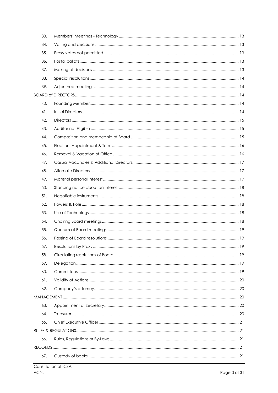| 33. |  |
|-----|--|
| 34. |  |
| 35. |  |
| 36. |  |
| 37. |  |
| 38. |  |
| 39. |  |
|     |  |
| 40. |  |
| 41. |  |
| 42. |  |
| 43. |  |
| 44. |  |
| 45. |  |
| 46. |  |
| 47. |  |
| 48. |  |
| 49. |  |
| 50. |  |
| 51. |  |
| 52. |  |
| 53. |  |
| 54. |  |
| 55. |  |
| 56. |  |
| 57. |  |
| 58. |  |
| 59. |  |
| 60. |  |
| 61. |  |
| 62. |  |
|     |  |
| 63. |  |
| 64. |  |
| 65. |  |
|     |  |
| 66. |  |
|     |  |
| 67. |  |
|     |  |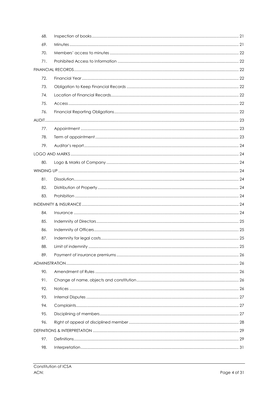| 68. |  |
|-----|--|
| 69. |  |
| 70. |  |
| 71. |  |
|     |  |
| 72. |  |
| 73. |  |
| 74. |  |
| 75. |  |
| 76. |  |
|     |  |
| 77. |  |
| 78. |  |
| 79. |  |
|     |  |
| 80. |  |
|     |  |
| 81. |  |
| 82. |  |
| 83. |  |
|     |  |
| 84. |  |
| 85. |  |
| 86. |  |
| 87. |  |
| 88. |  |
| 89. |  |
|     |  |
| 90. |  |
| 91. |  |
| 92. |  |
| 93. |  |
| 94. |  |
| 95. |  |
| 96. |  |
|     |  |
| 97. |  |
| 98. |  |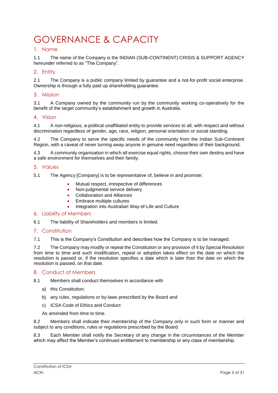# <span id="page-4-0"></span>GOVERNANCE & CAPACITY

#### <span id="page-4-1"></span>1. Name

1.1 The name of the Company is the INDIAN (SUB-CONTINENT) CRISIS & SUPPORT AGENCY hereunder referred to as "The Company".

#### <span id="page-4-2"></span>2. Entity

2.1 The Company is a public company limited by guarantee and a not-for-profit social enterprise. Ownership is through a fully paid up shareholding guarantee.

#### <span id="page-4-3"></span>3. Mission

3.1 A Company owned by the community run by the community working co-operatively for the benefit of the target community's establishment and growth in Australia.

#### <span id="page-4-4"></span>4. Vision

4.1 A non-religious, a-political unaffiliated entity to provide services to all, with respect and without discrimination regardless of gender, age, race, religion, personal orientation or social standing.

4.2 The Company to serve the specific needs of the community from the Indian Sub-Continent Region, with a caveat of never turning away anyone in genuine need regardless of their background.

4.3 A community organisation in which all exercise equal rights, choose their own destiny and have a safe environment for themselves and their family.

#### <span id="page-4-5"></span>5. Values

5.1 The Agency [Company] is to be representative of, believe in and promote:

- Mutual respect, irrespective of differences
- Non-judgmental service delivery
- Collaboration and Alliances
- Embrace multiple cultures
- Integration into Australian Way-of-Life and Culture

#### <span id="page-4-6"></span>6. Liability of Members

6.1 The liability of Shareholders and members is limited.

#### <span id="page-4-7"></span>7. Constitution

7.1 This is the Company's Constitution and describes how the Company is to be managed.

7.2 The Company may modify or repeal the Constitution or any provision of it by Special Resolution from time to time and such modification, repeal or adoption takes effect on the date on which the resolution is passed or, if the resolution specifies a date which is later than the date on which the resolution is passed, on that date.

#### <span id="page-4-8"></span>8. Conduct of Members

8.1 Members shall conduct themselves in accordance with

- a) this Constitution;
- b) any rules, regulations or by-laws prescribed by the Board and
- c) ICSA Code of Ethics and Conduct

As amended from time to time.

8.2 Members shall indicate their membership of the Company only in such form or manner and subject to any conditions, rules or regulations prescribed by the Board.

8.3 Each Member shall notify the Secretary of any change in the circumstances of the Member which may affect the Member's continued entitlement to membership or any class of membership.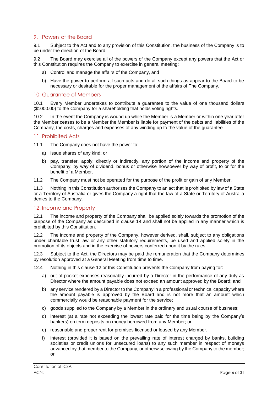#### <span id="page-5-0"></span>9. Powers of the Board

9.1 Subject to the Act and to any provision of this Constitution, the business of the Company is to be under the direction of the Board.

9.2 The Board may exercise all of the powers of the Company except any powers that the Act or this Constitution requires the Company to exercise in general meeting:

- a) Control and manage the affairs of the Company, and
- b) Have the power to perform all such acts and do all such things as appear to the Board to be necessary or desirable for the proper management of the affairs of The Company.

#### <span id="page-5-1"></span>10. Guarantee of Members

10.1 Every Member undertakes to contribute a guarantee to the value of one thousand dollars (\$1000.00) to the Company for a shareholding that holds voting rights.

10.2 In the event the Company is wound up while the Member is a Member or within one year after the Member ceases to be a Member the Member is liable for payment of the debts and liabilities of the Company, the costs, charges and expenses of any winding up to the value of the guarantee.

#### <span id="page-5-2"></span>11. Prohibited Acts

11.1 The Company does not have the power to:

- a) issue shares of any kind; or
- b) pay, transfer, apply, directly or indirectly, any portion of the income and property of the Company, by way of dividend, bonus or otherwise howsoever by way of profit, to or for the benefit of a Member.
- 11.2 The Company must not be operated for the purpose of the profit or gain of any Member.

11.3 Nothing in this Constitution authorises the Company to an act that is prohibited by law of a State or a Territory of Australia or gives the Company a right that the law of a State or Territory of Australia denies to the Company.

#### <span id="page-5-3"></span>12. Income and Property

12.1 The income and property of the Company shall be applied solely towards the promotion of the purpose of the Company as described in clause 14 and shall not be applied in any manner which is prohibited by this Constitution.

12.2 The income and property of the Company, however derived, shall, subject to any obligations under charitable trust law or any other statutory requirements, be used and applied solely in the promotion of its objects and in the exercise of powers conferred upon it by the rules.

12.3 Subject to the Act, the Directors may be paid the remuneration that the Company determines by resolution approved at a General Meeting from time to time.

12.4 Nothing in this clause 12 or this Constitution prevents the Company from paying for:

- a) out of pocket expenses reasonably incurred by a Director in the performance of any duty as Director where the amount payable does not exceed an amount approved by the Board; and
- b) any service rendered by a Director to the Company in a professional or technical capacity where the amount payable is approved by the Board and is not more that an amount which commercially would be reasonable payment for the service;
- c) goods supplied to the Company by a Member in the ordinary and usual course of business;
- d) interest (at a rate not exceeding the lowest rate paid for the time being by the Company's bankers) on term deposits on money borrowed from any Member; or
- e) reasonable and proper rent for premises licensed or leased by any Member.
- f) interest (provided it is based on the prevailing rate of interest charged by banks, building societies or credit unions for unsecured loans) to any such member in respect of moneys advanced by that member to the Company, or otherwise owing by the Company to the member; or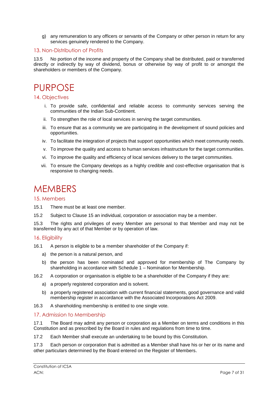g) any remuneration to any officers or servants of the Company or other person in return for any services genuinely rendered to the Company.

#### <span id="page-6-0"></span>13. Non-Distribution of Profits

13.5 No portion of the income and property of the Company shall be distributed, paid or transferred directly or indirectly by way of dividend, bonus or otherwise by way of profit to or amongst the shareholders or members of the Company.

### <span id="page-6-1"></span>PURPOSE

#### <span id="page-6-2"></span>14. Objectives

- i. To provide safe, confidential and reliable access to community services serving the communities of the Indian Sub-Continent.
- ii. To strengthen the role of local services in serving the target communities.
- iii. To ensure that as a community we are participating in the development of sound policies and opportunities.
- iv. To facilitate the integration of projects that support opportunities which meet community needs.
- v. To improve the quality and access to human services infrastructure for the target communities.
- vi. To improve the quality and efficiency of local services delivery to the target communities.
- vii. To ensure the Company develops as a highly credible and cost-effective organisation that is responsive to changing needs.

### <span id="page-6-3"></span>**MEMBERS**

#### <span id="page-6-4"></span>15. Members

- 15.1 There must be at least one member.
- 15.2 Subject to Clause 15 an individual, corporation or association may be a member.

15.3 The rights and privileges of every Member are personal to that Member and may not be transferred by any act of that Member or by operation of law.

#### <span id="page-6-5"></span>16. Eligibility

- 16.1 A person is eligible to be a member shareholder of the Company if:
	- a) the person is a natural person, and
	- b) the person has been nominated and approved for membership of The Company by shareholding in accordance with Schedule 1 – Nomination for Membership.
- 16.2 A corporation or organisation is eligible to be a shareholder of the Company if they are:
	- a) a properly registered corporation and is solvent.
	- b) a properly registered association with current financial statements, good governance and valid membership register in accordance with the Associated Incorporations Act 2009.
- 16.3 A shareholding membership is entitled to one single vote.

#### <span id="page-6-6"></span>17. Admission to Membership

17.1 The Board may admit any person or corporation as a Member on terms and conditions in this Constitution and as prescribed by the Board in rules and regulations from time to time.

17.2 Each Member shall execute an undertaking to be bound by this Constitution.

17.3 Each person or corporation that is admitted as a Member shall have his or her or its name and other particulars determined by the Board entered on the Register of Members.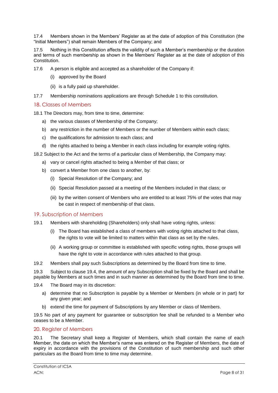17.4 Members shown in the Members' Register as at the date of adoption of this Constitution (the "Initial Members") shall remain Members of the Company; and

17.5 Nothing in this Constitution affects the validity of such a Member's membership or the duration and terms of such membership as shown in the Members' Register as at the date of adoption of this Constitution.

- 17.6 A person is eligible and accepted as a shareholder of the Company if:
	- (i) approved by the Board
	- (ii) is a fully paid up shareholder.
- 17.7 Membership nominations applications are through Schedule 1 to this constitution.

#### <span id="page-7-0"></span>18. Classes of Members

18.1 The Directors may, from time to time, determine:

- a) the various classes of Membership of the Company;
- b) any restriction in the number of Members or the number of Members within each class;
- c) the qualifications for admission to each class; and
- d) the rights attached to being a Member in each class including for example voting rights.

18.2 Subject to the Act and the terms of a particular class of Membership, the Company may:

- a) vary or cancel rights attached to being a Member of that class; or
- b) convert a Member from one class to another, by:
	- (i) Special Resolution of the Company; and
	- (ii) Special Resolution passed at a meeting of the Members included in that class; or
	- (iii) by the written consent of Members who are entitled to at least 75% of the votes that may be cast in respect of membership of that class.

#### <span id="page-7-1"></span>19. Subscription of Members

- 19.1 Members with shareholding (Shareholders) only shall have voting rights, unless:
	- (i) The Board has established a class of members with voting rights attached to that class, the rights to vote will be limited to matters within that class as set by the rules.
	- (ii) A working group or committee is established with specific voting rights, those groups will have the right to vote in accordance with rules attached to that group.

19.2 Members shall pay such Subscriptions as determined by the Board from time to time.

19.3 Subject to clause 19.4, the amount of any Subscription shall be fixed by the Board and shall be payable by Members at such times and in such manner as determined by the Board from time to time.

- 19.4 The Board may in its discretion:
	- a) determine that no Subscription is payable by a Member or Members (in whole or in part) for any given year; and
	- b) extend the time for payment of Subscriptions by any Member or class of Members.

19.5 No part of any payment for guarantee or subscription fee shall be refunded to a Member who ceases to be a Member.

#### <span id="page-7-2"></span>20. Register of Members

20.1 The Secretary shall keep a Register of Members, which shall contain the name of each Member, the date on which the Member's name was entered on the Register of Members, the date of expiry in accordance with the provisions of the Constitution of such membership and such other particulars as the Board from time to time may determine.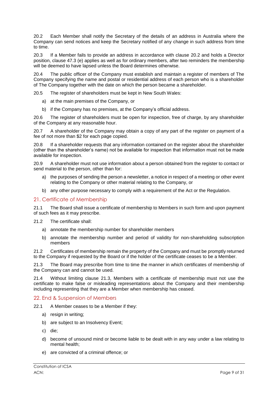20.2 Each Member shall notify the Secretary of the details of an address in Australia where the Company can send notices and keep the Secretary notified of any change in such address from time to time.

20.3 If a Member fails to provide an address in accordance with clause 20.2 and holds a Director position, clause 47.3 (e) applies as well as for ordinary members, after two reminders the membership will be deemed to have lapsed unless the Board determines otherwise.

20.4 The public officer of the Company must establish and maintain a register of members of The Company specifying the name and postal or residential address of each person who is a shareholder of The Company together with the date on which the person became a shareholder.

20.5 The register of shareholders must be kept in New South Wales:

- a) at the main premises of the Company, or
- b) if the Company has no premises, at the Company's official address.

20.6 The register of shareholders must be open for inspection, free of charge, by any shareholder of the Company at any reasonable hour.

20.7 A shareholder of the Company may obtain a copy of any part of the register on payment of a fee of not more than \$2 for each page copied.

20.8 If a shareholder requests that any information contained on the register about the shareholder (other than the shareholder's name) not be available for inspection that information must not be made available for inspection.

20.9 A shareholder must not use information about a person obtained from the register to contact or send material to the person, other than for:

- a) the purposes of sending the person a newsletter, a notice in respect of a meeting or other event relating to the Company or other material relating to the Company, or
- b) any other purpose necessary to comply with a requirement of the Act or the Regulation.

#### <span id="page-8-0"></span>21. Certificate of Membership

21.1 The Board shall issue a certificate of membership to Members in such form and upon payment of such fees as it may prescribe.

- 21.2 The certificate shall:
	- a) annotate the membership number for shareholder members
	- b) annotate the membership number and period of validity for non-shareholding subscription members

21.2 Certificates of membership remain the property of the Company and must be promptly returned to the Company if requested by the Board or if the holder of the certificate ceases to be a Member.

21.3 The Board may prescribe from time to time the manner in which certificates of membership of the Company can and cannot be used.

21.4 Without limiting clause 21.3, Members with a certificate of membership must not use the certificate to make false or misleading representations about the Company and their membership including representing that they are a Member when membership has ceased.

#### <span id="page-8-1"></span>22. End & Suspension of Members

- 22.1 A Member ceases to be a Member if they:
	- a) resign in writing;
	- b) are subject to an Insolvency Event;
	- c) die;
	- d) become of unsound mind or become liable to be dealt with in any way under a law relating to mental health;
	- e) are convicted of a criminal offence; or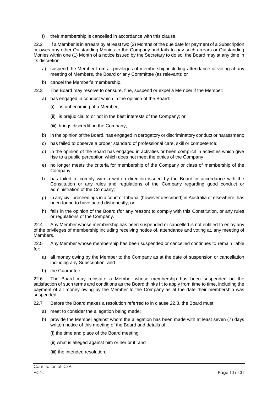f) their membership is cancelled in accordance with this clause.

22.2 If a Member is in arrears by at least two (2) Months of the due date for payment of a Subscription or owes any other Outstanding Monies to the Company and fails to pay such arrears or Outstanding Monies within one (1) Month of a notice issued by the Secretary to do so, the Board may at any time in its discretion:

- a) suspend the Member from all privileges of membership including attendance or voting at any meeting of Members, the Board or any Committee (as relevant); or
- b) cancel the Member's membership.
- 22.3 The Board may resolve to censure, fine, suspend or expel a Member if the Member:
	- a) has engaged in conduct which in the opinion of the Board:
		- (i) is unbecoming of a Member;
		- (ii) is prejudicial to or not in the best interests of the Company; or
		- (iii) brings discredit on the Company;
	- b) in the opinion of the Board, has engaged in derogatory or discriminatory conduct or harassment;
	- c) has failed to observe a proper standard of professional care, skill or competence;
	- d) in the opinion of the Board has engaged in activities or been complicit in activities which give rise to a public perception which does not meet the ethics of the Company
	- e) no longer meets the criteria for membership of the Company or class of membership of the Company;
	- f) has failed to comply with a written direction issued by the Board in accordance with the Constitution or any rules and regulations of the Company regarding good conduct or administration of the Company;
	- g) in any civil proceedings in a court or tribunal (however described) in Australia or elsewhere, has been found to have acted dishonestly; or
	- h) fails in the opinion of the Board (for any reason) to comply with this Constitution, or any rules or regulations of the Company.

22.4 Any Member whose membership has been suspended or cancelled is not entitled to enjoy any of the privileges of membership including receiving notice of, attendance and voting at, any meeting of Members.

22.5 Any Member whose membership has been suspended or cancelled continues to remain liable for:

- a) all money owing by the Member to the Company as at the date of suspension or cancellation including any Subscription; and
- b) the Guarantee.

22.6 The Board may reinstate a Member whose membership has been suspended on the satisfaction of such terms and conditions as the Board thinks fit to apply from time to time, including the payment of all money owing by the Member to the Company as at the date their membership was suspended.

22.7 Before the Board makes a resolution referred to in clause 22.3, the Board must:

- a) meet to consider the allegation being made;
- b) provide the Member against whom the allegation has been made with at least seven (7) days written notice of this meeting of the Board and details of:
	- (i) the time and place of the Board meeting;
	- (ii) what is alleged against him or her or it; and
	- (iii) the intended resolution,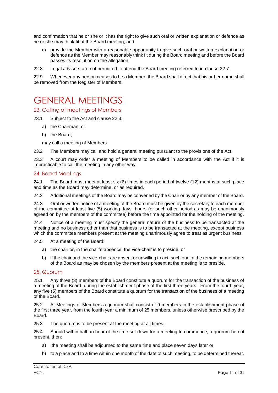and confirmation that he or she or it has the right to give such oral or written explanation or defence as he or she may think fit at the Board meeting; and

c) provide the Member with a reasonable opportunity to give such oral or written explanation or defence as the Member may reasonably think fit during the Board meeting and before the Board passes its resolution on the allegation.

22.8 Legal advisors are not permitted to attend the Board meeting referred to in clause 22.7.

22.9 Whenever any person ceases to be a Member, the Board shall direct that his or her name shall be removed from the Register of Members.

## <span id="page-10-0"></span>GENERAL MEETINGS

#### <span id="page-10-1"></span>23. Calling of meetings of Members

- 23.1 Subject to the Act and clause 22.3:
	- a) the Chairman; or
	- b) the Board;

may call a meeting of Members.

23.2 The Members may call and hold a general meeting pursuant to the provisions of the Act.

23.3 A court may order a meeting of Members to be called in accordance with the Act if it is impracticable to call the meeting in any other way.

#### <span id="page-10-2"></span>24. Board Meetings

24.1 The Board must meet at least six (6) times in each period of twelve (12) months at such place and time as the Board may determine, or as required.

24.2 Additional meetings of the Board may be convened by the Chair or by any member of the Board.

24.3 Oral or written notice of a meeting of the Board must be given by the secretary to each member of the committee at least five (5) working days hours (or such other period as may be unanimously agreed on by the members of the committee) before the time appointed for the holding of the meeting.

24.4 Notice of a meeting must specify the general nature of the business to be transacted at the meeting and no business other than that business is to be transacted at the meeting, except business which the committee members present at the meeting unanimously agree to treat as urgent business.

24.5 At a meeting of the Board:

- a) the chair or, in the chair's absence, the vice-chair is to preside, or
- b) if the chair and the vice-chair are absent or unwilling to act, such one of the remaining members of the Board as may be chosen by the members present at the meeting is to preside.

#### <span id="page-10-3"></span>25. Quorum

25.1 Any three (3) members of the Board constitute a quorum for the transaction of the business of a meeting of the Board, during the establishment phase of the first three years. From the fourth year, any five (5) members of the Board constitute a quorum for the transaction of the business of a meeting of the Board.

25.2 At Meetings of Members a quorum shall consist of 9 members in the establishment phase of the first three year, from the fourth year a minimum of 25 members, unless otherwise prescribed by the Board.

25.3 The quorum is to be present at the meeting at all times.

25.4 Should within half an hour of the time set down for a meeting to commence, a quorum be not present, then:

- a) the meeting shall be adjourned to the same time and place seven days later or
- b) to a place and to a time within one month of the date of such meeting, to be determined thereat.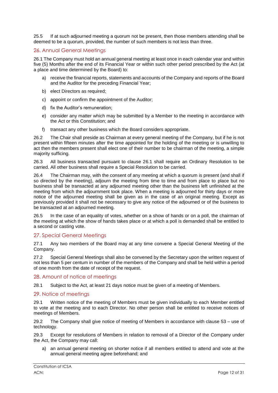25.5 If at such adjourned meeting a quorum not be present, then those members attending shall be deemed to be a quorum, provided, the number of such members is not less than three.

#### <span id="page-11-0"></span>26. Annual General Meetings

26.1 The Company must hold an annual general meeting at least once in each calendar year and within five (5) Months after the end of its Financial Year or within such other period prescribed by the Act (at a place and time determined by the Board) to:

- a) receive the financial reports, statements and accounts of the Company and reports of the Board and the Auditor for the preceding Financial Year;
- b) elect Directors as required;
- c) appoint or confirm the appointment of the Auditor;
- d) fix the Auditor's remuneration;
- e) consider any matter which may be submitted by a Member to the meeting in accordance with the Act or this Constitution; and
- f) transact any other business which the Board considers appropriate.

26.2 The Chair shall preside as Chairman at every general meeting of the Company, but if he is not present within fifteen minutes after the time appointed for the holding of the meeting or is unwilling to act then the members present shall elect one of their number to be chairman of the meeting, a simple majority sufficing.

26.3 All business transacted pursuant to clause 26.1 shall require an Ordinary Resolution to be carried. All other business shall require a Special Resolution to be carried.

26.4 The Chairman may, with the consent of any meeting at which a quorum is present (and shall if so directed by the meeting), adjourn the meeting from time to time and from place to place but no business shall be transacted at any adjourned meeting other than the business left unfinished at the meeting from which the adjournment took place. When a meeting is adjourned for thirty days or more notice of the adjourned meeting shall be given as in the case of an original meeting. Except as previously provided it shall not be necessary to give any notice of the adjourned or of the business to be transacted at an adjourned meeting.

26.5 In the case of an equality of votes, whether on a show of hands or on a poll, the chairman of the meeting at which the show of hands takes place or at which a poll is demanded shall be entitled to a second or casting vote.

#### <span id="page-11-1"></span>27. Special General Meetings

27.1 Any two members of the Board may at any time convene a Special General Meeting of the Company.

27.2 Special General Meetings shall also be convened by the Secretary upon the written request of not less than 5 per centum in number of the members of the Company and shall be held within a period of one month from the date of receipt of the request.

#### <span id="page-11-2"></span>28. Amount of notice of meetings

28.1 Subject to the Act, at least 21 days notice must be given of a meeting of Members.

#### <span id="page-11-3"></span>29. Notice of meetings

29.1 Written notice of the meeting of Members must be given individually to each Member entitled to vote at the meeting and to each Director. No other person shall be entitled to receive notices of meetings of Members.

29.2 The Company shall give notice of meeting of Members in accordance with clause 53 – use of technology.

29.3 Except for resolutions of Members in relation to removal of a Director of the Company under the Act, the Company may call:

a) an annual general meeting on shorter notice if all members entitled to attend and vote at the annual general meeting agree beforehand; and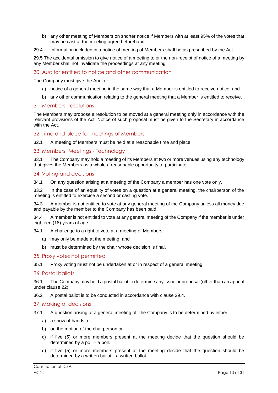- b) any other meeting of Members on shorter notice if Members with at least 95% of the votes that may be cast at the meeting agree beforehand.
- 29.4 Information included in a notice of meeting of Members shall be as prescribed by the Act.

29.5 The accidental omission to give notice of a meeting to or the non-receipt of notice of a meeting by any Member shall not invalidate the proceedings at any meeting.

#### <span id="page-12-0"></span>30. Auditor entitled to notice and other communication

The Company must give the Auditor:

- a) notice of a general meeting in the same way that a Member is entitled to receive notice; and
- b) any other communication relating to the general meeting that a Member is entitled to receive.

#### <span id="page-12-1"></span>31. Members' resolutions

The Members may propose a resolution to be moved at a general meeting only in accordance with the relevant provisions of the Act. Notice of such proposal must be given to the Secretary in accordance with the Act.

#### <span id="page-12-2"></span>32. Time and place for meetings of Members

32.1 A meeting of Members must be held at a reasonable time and place.

#### <span id="page-12-3"></span>33. Members' Meetings - Technology

33.1 The Company may hold a meeting of its Members at two or more venues using any technology that gives the Members as a whole a reasonable opportunity to participate.

#### <span id="page-12-4"></span>34. Voting and decisions

34.1 On any question arising at a meeting of the Company a member has one vote only.

33.2 In the case of an equality of votes on a question at a general meeting, the chairperson of the meeting is entitled to exercise a second or casting vote.

34.3 A member is not entitled to vote at any general meeting of the Company unless all money due and payable by the member to the Company has been paid.

34.4 A member is not entitled to vote at any general meeting of the Company if the member is under eighteen (18) years of age.

34.1 A challenge to a right to vote at a meeting of Members:

- a) may only be made at the meeting; and
- b) must be determined by the chair whose decision is final.

#### <span id="page-12-5"></span>35. Proxy votes not permitted

35.1 Proxy voting must not be undertaken at or in respect of a general meeting.

#### <span id="page-12-6"></span>36. Postal ballots

36.1 The Company may hold a postal ballot to determine any issue or proposal (other than an appeal under clause 22).

36.2 A postal ballot is to be conducted in accordance with clause 29.4.

#### <span id="page-12-7"></span>37. Making of decisions

- 37.1 A question arising at a general meeting of The Company is to be determined by either:
	- a) a show of hands, or
	- b) on the motion of the chairperson or
	- c) if five (5) or more members present at the meeting decide that the question should be determined by a poll – a poll.
	- d) if five (5) or more members present at the meeting decide that the question should be determined by a written ballot—a written ballot.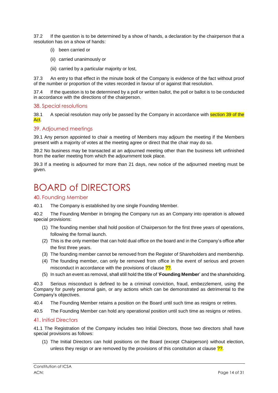37.2 If the question is to be determined by a show of hands, a declaration by the chairperson that a resolution has on a show of hands:

- (i) been carried or
- (ii) carried unanimously or
- (iii) carried by a particular majority or lost,

37.3 An entry to that effect in the minute book of the Company is evidence of the fact without proof of the number or proportion of the votes recorded in favour of or against that resolution.

37.4 If the question is to be determined by a poll or written ballot, the poll or ballot is to be conducted in accordance with the directions of the chairperson.

#### <span id="page-13-0"></span>38. Special resolutions

38.1 A special resolution may only be passed by the Company in accordance with section 39 of the Act.

#### <span id="page-13-1"></span>39. Adjourned meetings

39.1 Any person appointed to chair a meeting of Members may adjourn the meeting if the Members present with a majority of votes at the meeting agree or direct that the chair may do so.

39.2 No business may be transacted at an adjourned meeting other than the business left unfinished from the earlier meeting from which the adjournment took place.

39.3 If a meeting is adjourned for more than 21 days, new notice of the adjourned meeting must be given.

## <span id="page-13-2"></span>BOARD of DIRECTORS

<span id="page-13-3"></span>40. Founding Member

40.1 The Company is established by one single Founding Member.

40.2 The Founding Member in bringing the Company run as an Company into operation is allowed special provisions:

- (1) The founding member shall hold position of Chairperson for the first three years of operations, following the formal launch.
- (2) This is the only member that can hold dual office on the board and in the Company's office after the first three years.
- (3) The founding member cannot be removed from the Register of Shareholders and membership.
- (4) The founding member, can only be removed from office in the event of serious and proven misconduct in accordance with the provisions of clause ??.
- (5) In such an event as removal, shall still hold the title of '**Founding Member**' and the shareholding.

40.3 Serious misconduct is defined to be a criminal conviction, fraud, embezzlement, using the Company for purely personal gain, or any actions which can be demonstrated as detrimental to the Company's objectives.

40.4 The Founding Member retains a position on the Board until such time as resigns or retires.

40.5 The Founding Member can hold any operational position until such time as resigns or retires.

#### <span id="page-13-4"></span>41. Initial Directors

41.1 The Registration of the Company includes two Initial Directors, those two directors shall have special provisions as follows:

(1) The Initial Directors can hold positions on the Board (except Chairperson) without election, unless they resign or are removed by the provisions of this constitution at clause  $\frac{22}{3}$ .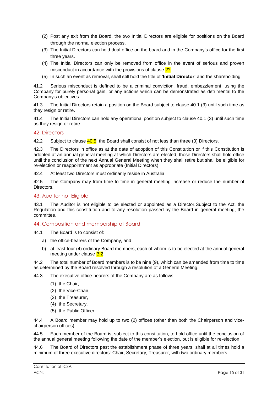- (2) Post any exit from the Board, the two Initial Directors are eligible for positions on the Board through the normal election process.
- (3) The Initial Directors can hold dual office on the board and in the Company's office for the first three years.
- (4) The Initial Directors can only be removed from office in the event of serious and proven misconduct in accordance with the provisions of clause ??.
- (5) In such an event as removal, shall still hold the title of '**Initial Director'** and the shareholding.

41.2 Serious misconduct is defined to be a criminal conviction, fraud, embezzlement, using the Company for purely personal gain, or any actions which can be demonstrated as detrimental to the Company's objectives.

41.3 The Initial Directors retain a position on the Board subject to clause 40.1 (3) until such time as they resign or retire.

41.4 The Initial Directors can hold any operational position subject to clause 40.1 (3) until such time as they resign or retire.

#### <span id="page-14-0"></span>42. Directors

42.2 Subject to clause  $\frac{40.5}{10}$ , the Board shall consist of not less than three (3) Directors.

42.3 The Directors in office as at the date of adoption of this Constitution or if this Constitution is adopted at an annual general meeting at which Directors are elected, those Directors shall hold office until the conclusion of the next Annual General Meeting when they shall retire but shall be eligible for re-election or reappointment as appropriate (Initial Directors).

42.4 At least two Directors must ordinarily reside in Australia.

42.5 The Company may from time to time in general meeting increase or reduce the number of Directors.

#### <span id="page-14-1"></span>43. Auditor not Eligible

43.1 The Auditor is not eligible to be elected or appointed as a Director.Subject to the Act, the Regulation and this constitution and to any resolution passed by the Board in general meeting, the committee.

#### <span id="page-14-2"></span>44. Composition and membership of Board

- 44.1 The Board is to consist of:
	- a) the office-bearers of the Company, and
	- b) at least four (4) ordinary Board members, each of whom is to be elected at the annual general meeting under clause **B.2**.

44.2 The total number of Board members is to be nine (9), which can be amended from time to time as determined by the Board resolved through a resolution of a General Meeting.

44.3 The executive office-bearers of the Company are as follows:

- (1) the Chair,
- (2) the Vice-Chair,
- (3) the Treasurer,
- (4) the Secretary.
- (5) the Public Officer

44.4 A Board member may hold up to two (2) offices (other than both the Chairperson and vicechairperson offices).

44.5 Each member of the Board is, subject to this constitution, to hold office until the conclusion of the annual general meeting following the date of the member's election, but is eligible for re-election.

44.6 The Board of Directors past the establishment phase of three years, shall at all times hold a minimum of three executive directors: Chair, Secretary, Treasurer, with two ordinary members.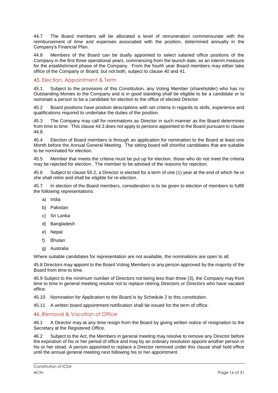44.7 The Board members will be allocated a level of remuneration commensurate with the reimbursement of time and expenses associated with the position, determined annually in the Company's Financial Plan.

44.8 Members of the Board can be dually appointed to select salaried office positions of the Company in the first three operational years, commencing from the launch date, as an interim measure for the establishment phase of the Company. From the fourth year Board members may either take office of the Company or Board, but not both, subject to clause 40 and 41.

#### <span id="page-15-0"></span>45. Election, Appointment & Term

45.1 Subject to the provisions of this Constitution, any Voting Member (shareholder) who has no Outstanding Monies to the Company and is in good standing shall be eligible to be a candidate or to nominate a person to be a candidate for election to the office of elected Director.

45.2 Board positions have position descriptions with set criteria in regards to skills, experience and qualifications required to undertake the duties of the position.

45.3 The Company may call for nominations as Director in such manner as the Board determines from time to time. This clause 44.3 does not apply to persons appointed to the Board pursuant to clause 44.8.

45.4 Election of Board members is through an application for nomination to the Board at least one Month before the Annual General Meeting. The sitting board will shortlist candidates that are suitable to be nominated for election.

45.5 Member that meets the criteria must be put up for election, those who do not meet the criteria may be rejected for election. The member to be advised of the reasons for rejection.

45.6 Subject to clause 50.2, a Director is elected for a term of one (1) year at the end of which he or she shall retire and shall be eligible for re-election.

45.7 In election of the Board members, consideration is to be given to election of members to fulfill the following representations:

- a) India
- b) Pakistan
- c) Sri Lanka
- d) Bangladesh
- e) Nepal
- f) Bhutan
- g) Australia

Where suitable candidates for representation are not available, the nominations are open to all.

45.8 Directors may appoint to the Board Voting Members or any person approved by the majority of the Board from time to time.

45.9 Subject to the minimum number of Directors not being less than three (3), the Company may from time to time in general meeting resolve not to replace retiring Directors or Directors who have vacated office.

45.10 Nomination for Application to the Board is by Schedule 2 to this constitution.

45.11 A written board appointment notification shall be issued for the term of office.

#### <span id="page-15-1"></span>46. Removal & Vacation of Office

46.1 A Director may at any time resign from the Board by giving written notice of resignation to the Secretary at the Registered Office.

46.2 Subject to the Act, the Members in general meeting may resolve to remove any Director before the expiration of his or her period of office and may by an ordinary resolution appoint another person in his or her stead. A person appointed to replace a Director removed under this clause shall hold office until the annual general meeting next following his or her appointment.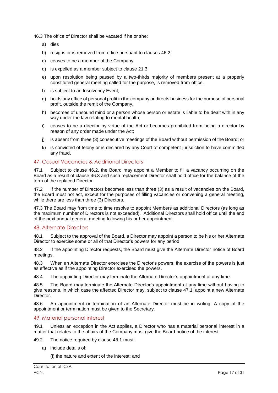46.3 The office of Director shall be vacated if he or she:

- a) dies
- b) resigns or is removed from office pursuant to clauses 46.2;
- c) ceases to be a member of the Company
- d) is expelled as a member subject to clause 21.3
- e) upon resolution being passed by a two-thirds majority of members present at a properly constituted general meeting called for the purpose, is removed from office.
- f) is subject to an Insolvency Event;
- g) holds any office of personal profit in the company or directs business for the purpose of personal profit, outside the remit of the Company,
- h) becomes of unsound mind or a person whose person or estate is liable to be dealt with in any way under the law relating to mental health;
- i) ceases to be a director by virtue of the Act or becomes prohibited from being a director by reason of any order made under the Act;
- j) is absent from three (3) consecutive meetings of the Board without permission of the Board; or
- k) is convicted of felony or is declared by any Court of competent jurisdiction to have committed any fraud.

#### <span id="page-16-0"></span>47. Casual Vacancies & Additional Directors

47.1 Subject to clause 46.2, the Board may appoint a Member to fill a vacancy occurring on the Board as a result of clause 46.3 and such replacement Director shall hold office for the balance of the term of the replaced Director.

47.2 If the number of Directors becomes less than three (3) as a result of vacancies on the Board, the Board must not act, except for the purposes of filling vacancies or convening a general meeting, while there are less than three (3) Directors.

47.3 The Board may from time to time resolve to appoint Members as additional Directors (as long as the maximum number of Directors is not exceeded). Additional Directors shall hold office until the end of the next annual general meeting following his or her appointment.

#### <span id="page-16-1"></span>48. Alternate Directors

48.1 Subject to the approval of the Board, a Director may appoint a person to be his or her Alternate Director to exercise some or all of that Director's powers for any period.

48.2 If the appointing Director requests, the Board must give the Alternate Director notice of Board meetings.

48.3 When an Alternate Director exercises the Director's powers, the exercise of the powers is just as effective as if the appointing Director exercised the powers.

48.4 The appointing Director may terminate the Alternate Director's appointment at any time.

48.5 The Board may terminate the Alternate Director's appointment at any time without having to give reasons, in which case the affected Director may, subject to clause 47.1, appoint a new Alternate Director.

48.6 An appointment or termination of an Alternate Director must be in writing. A copy of the appointment or termination must be given to the Secretary.

#### <span id="page-16-2"></span>49. Material personal interest

49.1 Unless an exception in the Act applies, a Director who has a material personal interest in a matter that relates to the affairs of the Company must give the Board notice of the interest.

49.2 The notice required by clause 48.1 must:

a) include details of:

(i) the nature and extent of the interest; and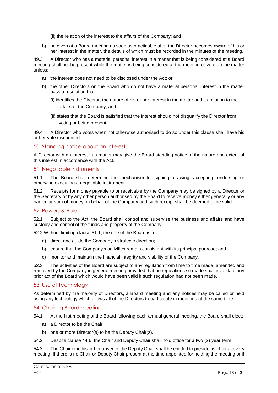(ii) the relation of the interest to the affairs of the Company; and

b) be given at a Board meeting as soon as practicable after the Director becomes aware of his or her interest in the matter, the details of which must be recorded in the minutes of the meeting.

49.3 A Director who has a material personal interest in a matter that is being considered at a Board meeting shall not be present while the matter is being considered at the meeting or vote on the matter unless:

- a) the interest does not need to be disclosed under the Act; or
- b) the other Directors on the Board who do not have a material personal interest in the matter pass a resolution that:
	- (i) identifies the Director, the nature of his or her interest in the matter and its relation to the affairs of the Company; and
	- (ii) states that the Board is satisfied that the interest should not disqualify the Director from voting or being present.

49.4 A Director who votes when not otherwise authorised to do so under this clause shall have his or her vote discounted.

#### <span id="page-17-0"></span>50. Standing notice about an interest

A Director with an interest in a matter may give the Board standing notice of the nature and extent of this interest in accordance with the Act.

#### <span id="page-17-1"></span>51. Negotiable instruments

51.1 The Board shall determine the mechanism for signing, drawing, accepting, endorsing or otherwise executing a negotiable instrument.

51.2 Receipts for money payable to or receivable by the Company may be signed by a Director or the Secretary or by any other person authorised by the Board to receive money either generally or any particular sum of money on behalf of the Company and such receipt shall be deemed to be valid.

#### <span id="page-17-2"></span>52. Powers & Role

52.1 Subject to the Act, the Board shall control and supervise the business and affairs and have custody and control of the funds and property of the Company.

52.2 Without limiting clause 51.1, the role of the Board is to:

- a) direct and guide the Company's strategic direction;
- b) ensure that the Company's activities remain consistent with its principal purpose; and
- c) monitor and maintain the financial integrity and viability of the Company.

52.3 The activities of the Board are subject to any regulation from time to time made, amended and removed by the Company in general meeting provided that no regulations so made shall invalidate any prior act of the Board which would have been valid if such regulation had not been made.

#### <span id="page-17-3"></span>53. Use of Technology

As determined by the majority of Directors, a Board meeting and any notices may be called or held using any technology which allows all of the Directors to participate in meetings at the same time.

#### <span id="page-17-4"></span>54. Chairing Board meetings

- 54.1 At the first meeting of the Board following each annual general meeting, the Board shall elect:
	- a) a Director to be the Chair;
	- b) one or more Director(s) to be the Deputy Chair(s).
- 54.2 Despite clause 44.6, the Chair and Deputy Chair shall hold office for a two (2) year term.

54.3 The Chair or in his or her absence the Deputy Chair shall be entitled to preside as chair at every meeting. If there is no Chair or Deputy Chair present at the time appointed for holding the meeting or if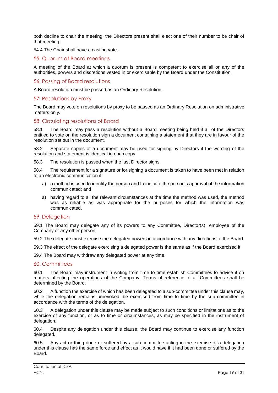both decline to chair the meeting, the Directors present shall elect one of their number to be chair of that meeting.

54.4 The Chair shall have a casting vote.

#### <span id="page-18-0"></span>55. Quorum at Board meetings

A meeting of the Board at which a quorum is present is competent to exercise all or any of the authorities, powers and discretions vested in or exercisable by the Board under the Constitution.

#### <span id="page-18-1"></span>56. Passing of Board resolutions

A Board resolution must be passed as an Ordinary Resolution.

#### <span id="page-18-2"></span>57. Resolutions by Proxy

The Board may vote on resolutions by proxy to be passed as an Ordinary Resolution on administrative matters only.

#### <span id="page-18-3"></span>58. Circulating resolutions of Board

58.1 The Board may pass a resolution without a Board meeting being held if all of the Directors entitled to vote on the resolution sign a document containing a statement that they are in favour of the resolution set out in the document.

58.2 Separate copies of a document may be used for signing by Directors if the wording of the resolution and statement is identical in each copy.

58.3 The resolution is passed when the last Director signs.

58.4 The requirement for a signature or for signing a document is taken to have been met in relation to an electronic communication if:

- a) a method is used to identify the person and to indicate the person's approval of the information communicated; and
- a) having regard to all the relevant circumstances at the time the method was used, the method was as reliable as was appropriate for the purposes for which the information was communicated.

#### <span id="page-18-4"></span>59. Delegation

59.1 The Board may delegate any of its powers to any Committee, Director(s), employee of the Company or any other person.

59.2 The delegate must exercise the delegated powers in accordance with any directions of the Board.

59.3 The effect of the delegate exercising a delegated power is the same as if the Board exercised it.

59.4 The Board may withdraw any delegated power at any time.

#### <span id="page-18-5"></span>60. Committees

60.1 The Board may instrument in writing from time to time establish Committees to advise it on matters affecting the operations of the Company. Terms of reference of all Committees shall be determined by the Board.

60.2 A function the exercise of which has been delegated to a sub-committee under this clause may, while the delegation remains unrevoked, be exercised from time to time by the sub-committee in accordance with the terms of the delegation.

60.3 A delegation under this clause may be made subject to such conditions or limitations as to the exercise of any function, or as to time or circumstances, as may be specified in the instrument of delegation.

60.4 Despite any delegation under this clause, the Board may continue to exercise any function delegated.

60.5 Any act or thing done or suffered by a sub-committee acting in the exercise of a delegation under this clause has the same force and effect as it would have if it had been done or suffered by the Board.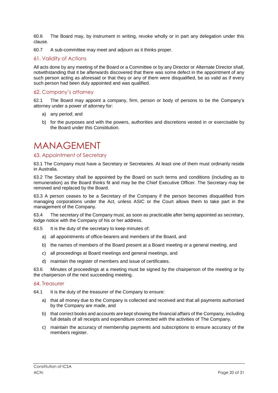60.6 The Board may, by instrument in writing, revoke wholly or in part any delegation under this clause.

60.7 A sub-committee may meet and adjourn as it thinks proper.

#### <span id="page-19-0"></span>61. Validity of Actions

All acts done by any meeting of the Board or a Committee or by any Director or Alternate Director shall, notwithstanding that it be afterwards discovered that there was some defect in the appointment of any such person acting as aforesaid or that they or any of them were disqualified, be as valid as if every such person had been duly appointed and was qualified.

#### <span id="page-19-1"></span>62. Company's attorney

62.1 The Board may appoint a company, firm, person or body of persons to be the Company's attorney under a power of attorney for:

- a) any period; and
- b) for the purposes and with the powers, authorities and discretions vested in or exercisable by the Board under this Constitution.

### <span id="page-19-2"></span>**MANAGEMENT**

#### <span id="page-19-3"></span>63. Appointment of Secretary

63.1 The Company must have a Secretary or Secretaries. At least one of them must ordinarily reside in Australia.

63.2 The Secretary shall be appointed by the Board on such terms and conditions (including as to remuneration) as the Board thinks fit and may be the Chief Executive Officer. The Secretary may be removed and replaced by the Board.

63.3 A person ceases to be a Secretary of the Company if the person becomes disqualified from managing corporations under the Act, unless ASIC or the Court allows them to take part in the management of the Company.

63.4 The secretary of the Company must, as soon as practicable after being appointed as secretary, lodge notice with the Company of his or her address.

63.5 It is the duty of the secretary to keep minutes of:

- a) all appointments of office-bearers and members of the Board, and
- b) the names of members of the Board present at a Board meeting or a general meeting, and
- c) all proceedings at Board meetings and general meetings, and
- d) maintain the register of members and issue of certificates.

63.6 Minutes of proceedings at a meeting must be signed by the chairperson of the meeting or by the chairperson of the next succeeding meeting.

#### <span id="page-19-4"></span>64. Treasurer

64.1 It is the duty of the treasurer of the Company to ensure:

- a) that all money due to the Company is collected and received and that all payments authorised by the Company are made, and
- b) that correct books and accounts are kept showing the financial affairs of the Company, including full details of all receipts and expenditure connected with the activities of The Company.
- c) maintain the accuracy of membership payments and subscriptions to ensure accuracy of the members register.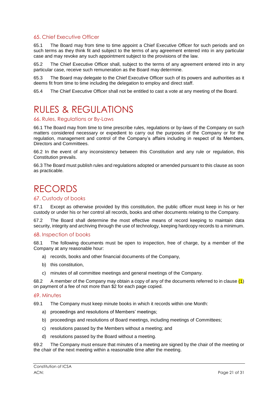#### <span id="page-20-0"></span>65. Chief Executive Officer

65.1 The Board may from time to time appoint a Chief Executive Officer for such periods and on such terms as they think fit and subject to the terms of any agreement entered into in any particular case and may revoke any such appointment subject to the provisions of the law.

65.2 The Chief Executive Officer shall, subject to the terms of any agreement entered into in any particular case, receive such remuneration as the Board may determine.

65.3 The Board may delegate to the Chief Executive Officer such of its powers and authorities as it deems fit from time to time including the delegation to employ and direct staff.

65.4 The Chief Executive Officer shall not be entitled to cast a vote at any meeting of the Board.

# <span id="page-20-1"></span>RULES & REGULATIONS

#### <span id="page-20-2"></span>66. Rules, Regulations or By-Laws

66.1 The Board may from time to time prescribe rules, regulations or by-laws of the Company on such matters considered necessary or expedient to carry out the purposes of the Company or for the regulation, management and control of the Company's affairs including in respect of its Members, Directors and Committees.

66.2 In the event of any inconsistency between this Constitution and any rule or regulation, this Constitution prevails.

66.3 The Board must publish rules and regulations adopted or amended pursuant to this clause as soon as practicable.

### <span id="page-20-3"></span>RECORDS

#### <span id="page-20-4"></span>67. Custody of books

67.1 Except as otherwise provided by this constitution, the public officer must keep in his or her custody or under his or her control all records, books and other documents relating to the Company.

67.2 The Board shall determine the most effective means of record keeping to maintain data security, integrity and archiving through the use of technology, keeping hardcopy records to a minimum.

#### <span id="page-20-5"></span>68. Inspection of books

68.1 The following documents must be open to inspection, free of charge, by a member of the Company at any reasonable hour:

- a) records, books and other financial documents of the Company,
- b) this constitution,
- c) minutes of all committee meetings and general meetings of the Company.

68.2 A member of the Company may obtain a copy of any of the documents referred to in clause  $(1)$ on payment of a fee of not more than \$2 for each page copied.

#### <span id="page-20-6"></span>69. Minutes

69.1 The Company must keep minute books in which it records within one Month:

- a) proceedings and resolutions of Members' meetings;
- b) proceedings and resolutions of Board meetings, including meetings of Committees;
- c) resolutions passed by the Members without a meeting; and
- d) resolutions passed by the Board without a meeting.

69.2 The Company must ensure that minutes of a meeting are signed by the chair of the meeting or the chair of the next meeting within a reasonable time after the meeting.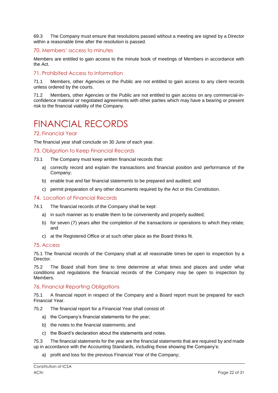69.3 The Company must ensure that resolutions passed without a meeting are signed by a Director within a reasonable time after the resolution is passed.

#### <span id="page-21-0"></span>70. Members' access to minutes

Members are entitled to gain access to the minute book of meetings of Members in accordance with the Act.

#### <span id="page-21-1"></span>71. Prohibited Access to Information

71.1 Members, other Agencies or the Public are not entitled to gain access to any client records unless ordered by the courts.

71.2 Members, other Agencies or the Public are not entitled to gain access on any commercial-inconfidence material or negotiated agreements with other parties which may have a bearing or present risk to the financial viability of the Company.

### <span id="page-21-2"></span>FINANCIAL RECORDS

#### <span id="page-21-3"></span>72. Financial Year

The financial year shall conclude on 30 June of each year.

#### <span id="page-21-4"></span>73. Obligation to Keep Financial Records

- 73.1 The Company must keep written financial records that:
	- a) correctly record and explain the transactions and financial position and performance of the Company;
	- b) enable true and fair financial statements to be prepared and audited; and
	- c) permit preparation of any other documents required by the Act or this Constitution.

#### <span id="page-21-5"></span>74. Location of Financial Records

- 74.1 The financial records of the Company shall be kept:
	- a) in such manner as to enable them to be conveniently and properly audited;
	- b) for seven (7) years after the completion of the transactions or operations to which they relate; and
	- c) at the Registered Office or at such other place as the Board thinks fit.

#### <span id="page-21-6"></span>75. Access

75.1 The financial records of the Company shall at all reasonable times be open to inspection by a **Director** 

75.2 The Board shall from time to time determine at what times and places and under what conditions and regulations the financial records of the Company may be open to inspection by Members.

#### <span id="page-21-7"></span>76. Financial Reporting Obligations

75.1 A financial report in respect of the Company and a Board report must be prepared for each Financial Year.

75.2 The financial report for a Financial Year shall consist of:

- a) the Company's financial statements for the year;
- b) the notes to the financial statements; and
- c) the Board's declaration about the statements and notes.

75.3 The financial statements for the year are the financial statements that are required by and made up in accordance with the Accounting Standards, including those showing the Company's:

a) profit and loss for the previous Financial Year of the Company;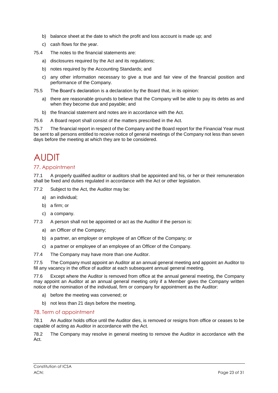- b) balance sheet at the date to which the profit and loss account is made up; and
- c) cash flows for the year.
- 75.4 The notes to the financial statements are:
	- a) disclosures required by the Act and its regulations;
	- b) notes required by the Accounting Standards; and
	- c) any other information necessary to give a true and fair view of the financial position and performance of the Company.
- 75.5 The Board's declaration is a declaration by the Board that, in its opinion:
	- a) there are reasonable grounds to believe that the Company will be able to pay its debts as and when they become due and payable; and
	- b) the financial statement and notes are in accordance with the Act.
- 75.6 A Board report shall consist of the matters prescribed in the Act.

75.7 The financial report in respect of the Company and the Board report for the Financial Year must be sent to all persons entitled to receive notice of general meetings of the Company not less than seven days before the meeting at which they are to be considered.

## <span id="page-22-0"></span>AUDIT

#### <span id="page-22-1"></span>77. Appointment

77.1 A properly qualified auditor or auditors shall be appointed and his, or her or their remuneration shall be fixed and duties regulated in accordance with the Act or other legislation.

77.2 Subject to the Act, the Auditor may be:

- a) an individual;
- b) a firm; or
- c) a company.
- 77.3 A person shall not be appointed or act as the Auditor if the person is:
	- a) an Officer of the Company;
	- b) a partner, an employer or employee of an Officer of the Company; or
	- c) a partner or employee of an employee of an Officer of the Company.
- 77.4 The Company may have more than one Auditor.

77.5 The Company must appoint an Auditor at an annual general meeting and appoint an Auditor to fill any vacancy in the office of auditor at each subsequent annual general meeting.

77.6 Except where the Auditor is removed from office at the annual general meeting, the Company may appoint an Auditor at an annual general meeting only if a Member gives the Company written notice of the nomination of the individual, firm or company for appointment as the Auditor:

- a) before the meeting was convened; or
- b) not less than 21 days before the meeting.

#### <span id="page-22-2"></span>78. Term of appointment

78.1 An Auditor holds office until the Auditor dies, is removed or resigns from office or ceases to be capable of acting as Auditor in accordance with the Act.

78.2 The Company may resolve in general meeting to remove the Auditor in accordance with the Act.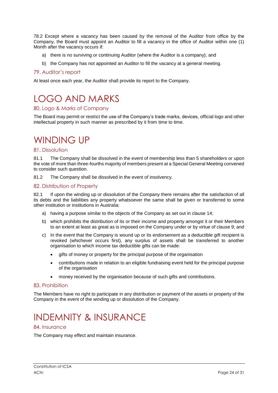78.2 Except where a vacancy has been caused by the removal of the Auditor from office by the Company, the Board must appoint an Auditor to fill a vacancy in the office of Auditor within one (1) Month after the vacancy occurs if:

- a) there is no surviving or continuing Auditor (where the Auditor is a company); and
- b) the Company has not appointed an Auditor to fill the vacancy at a general meeting.

#### <span id="page-23-0"></span>79. Auditor's report

At least once each year, the Auditor shall provide its report to the Company.

# <span id="page-23-1"></span>LOGO AND MARKS

#### <span id="page-23-2"></span>80. Logo & Marks of Company

The Board may permit or restrict the use of the Company's trade marks, devices, official logo and other intellectual property in such manner as prescribed by it from time to time.

### <span id="page-23-3"></span>WINDING UP

#### <span id="page-23-4"></span>81. Dissolution

81.1 The Company shall be dissolved in the event of membership less than 5 shareholders or upon the vote of more than three-fourths majority of members present at a Special General Meeting convened to consider such question.

81.2 The Company shall be dissolved in the event of insolvency.

#### <span id="page-23-5"></span>82. Distribution of Property

82.1 If upon the winding up or dissolution of the Company there remains after the satisfaction of all its debts and the liabilities any property whatsoever the same shall be given or transferred to some other institution or institutions in Australia:

- a) having a purpose similar to the objects of the Company as set out in clause 14;
- b) which prohibits the distribution of its or their income and property amongst it or their Members to an extent at least as great as is imposed on the Company under or by virtue of clause 9; and
- c) In the event that the Company is wound up or its endorsement as a deductible gift recipient is revoked (whichever occurs first), any surplus of assets shall be transferred to another organisation to which income tax deductible gifts can be made:
	- gifts of money or property for the principal purpose of the organisation
	- contributions made in relation to an eligible fundraising event held for the principal purpose of the organisation
	- money received by the organisation because of such gifts and contributions.

#### <span id="page-23-6"></span>83. Prohibition

The Members have no right to participate in any distribution or payment of the assets or property of the Company in the event of the winding up or dissolution of the Company.

## <span id="page-23-7"></span>INDEMNITY & INSURANCE

#### <span id="page-23-8"></span>84. Insurance

The Company may effect and maintain insurance.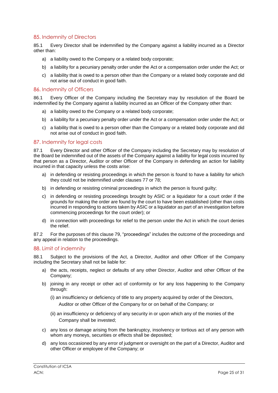#### <span id="page-24-0"></span>85. Indemnity of Directors

85.1 Every Director shall be indemnified by the Company against a liability incurred as a Director other than:

- a) a liability owed to the Company or a related body corporate;
- b) a liability for a pecuniary penalty order under the Act or a compensation order under the Act; or
- c) a liability that is owed to a person other than the Company or a related body corporate and did not arise out of conduct in good faith.

#### <span id="page-24-1"></span>86. Indemnity of Officers

86.1 Every Officer of the Company including the Secretary may by resolution of the Board be indemnified by the Company against a liability incurred as an Officer of the Company other than:

- a) a liability owed to the Company or a related body corporate;
- b) a liability for a pecuniary penalty order under the Act or a compensation order under the Act; or
- c) a liability that is owed to a person other than the Company or a related body corporate and did not arise out of conduct in good faith.

#### <span id="page-24-2"></span>87. Indemnity for legal costs

87.1 Every Director and other Officer of the Company including the Secretary may by resolution of the Board be indemnified out of the assets of the Company against a liability for legal costs incurred by that person as a Director, Auditor or other Officer of the Company in defending an action for liability incurred in that capacity unless the costs arise:

- a) in defending or resisting proceedings in which the person is found to have a liability for which they could not be indemnified under clauses 77 or 78;
- b) in defending or resisting criminal proceedings in which the person is found guilty;
- c) in defending or resisting proceedings brought by ASIC or a liquidator for a court order if the grounds for making the order are found by the court to have been established (other than costs incurred in responding to actions taken by ASIC or a liquidator as part of an investigation before commencing proceedings for the court order); or
- d) in connection with proceedings for relief to the person under the Act in which the court denies the relief.

87.2 For the purposes of this clause 79, "proceedings" includes the outcome of the proceedings and any appeal in relation to the proceedings.

#### <span id="page-24-3"></span>88. Limit of indemnity

88.1 Subject to the provisions of the Act, a Director, Auditor and other Officer of the Company including the Secretary shall not be liable for:

- a) the acts, receipts, neglect or defaults of any other Director, Auditor and other Officer of the Company;
- b) joining in any receipt or other act of conformity or for any loss happening to the Company through:
	- (i) an insufficiency or deficiency of title to any property acquired by order of the Directors, Auditor or other Officer of the Company for or on behalf of the Company; or
	- (ii) an insufficiency or deficiency of any security in or upon which any of the monies of the Company shall be invested;
- c) any loss or damage arising from the bankruptcy, insolvency or tortious act of any person with whom any moneys, securities or effects shall be deposited;
- d) any loss occasioned by any error of judgment or oversight on the part of a Director, Auditor and other Officer or employee of the Company; or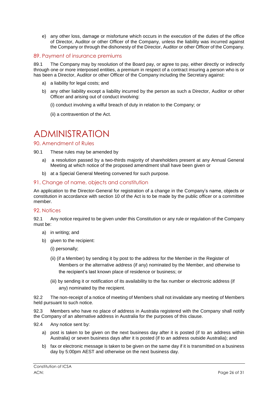e) any other loss, damage or misfortune which occurs in the execution of the duties of the office of Director, Auditor or other Officer of the Company, unless the liability was incurred against the Company or through the dishonesty of the Director, Auditor or other Officer of the Company.

#### <span id="page-25-0"></span>89. Payment of insurance premiums

89.1 The Company may by resolution of the Board pay, or agree to pay, either directly or indirectly through one or more interposed entities, a premium in respect of a contract insuring a person who is or has been a Director, Auditor or other Officer of the Company including the Secretary against:

- a) a liability for legal costs; and
- b) any other liability except a liability incurred by the person as such a Director, Auditor or other Officer and arising out of conduct involving:
	- (i) conduct involving a wilful breach of duty in relation to the Company; or
	- (ii) a contravention of the Act.

### <span id="page-25-1"></span>ADMINISTRATION

#### <span id="page-25-2"></span>90. Amendment of Rules

- 90.1 These rules may be amended by
	- a) a resolution passed by a two-thirds majority of shareholders present at any Annual General Meeting at which notice of the proposed amendment shall have been given or
	- b) at a Special General Meeting convened for such purpose.

#### <span id="page-25-3"></span>91. Change of name, objects and constitution

An application to the Director-General for registration of a change in the Company's name, objects or constitution in accordance with section 10 of the Act is to be made by the public officer or a committee member.

#### <span id="page-25-4"></span>92. Notices

92.1 Any notice required to be given under this Constitution or any rule or regulation of the Company must be:

- a) in writing; and
- b) given to the recipient:

(i) personally;

- (ii) (if a Member) by sending it by post to the address for the Member in the Register of Members or the alternative address (if any) nominated by the Member, and otherwise to the recipient's last known place of residence or business; or
- (iii) by sending it or notification of its availability to the fax number or electronic address (if any) nominated by the recipient.

92.2 The non-receipt of a notice of meeting of Members shall not invalidate any meeting of Members held pursuant to such notice.

92.3 Members who have no place of address in Australia registered with the Company shall notify the Company of an alternative address in Australia for the purposes of this clause.

- 92.4 Any notice sent by:
	- a) post is taken to be given on the next business day after it is posted (if to an address within Australia) or seven business days after it is posted (if to an address outside Australia); and
	- b) fax or electronic message is taken to be given on the same day if it is transmitted on a business day by 5:00pm AEST and otherwise on the next business day.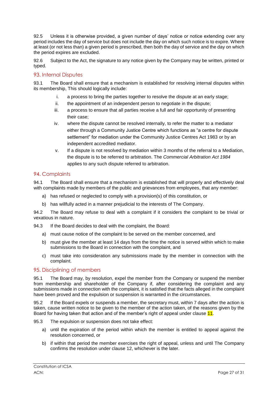92.5 Unless it is otherwise provided, a given number of days' notice or notice extending over any period includes the day of service but does not include the day on which such notice is to expire. Where at least (or not less than) a given period is prescribed, then both the day of service and the day on which the period expires are excluded.

92.6 Subject to the Act, the signature to any notice given by the Company may be written, printed or typed.

#### <span id="page-26-0"></span>93. Internal Disputes

93.1 The Board shall ensure that a mechanism is established for resolving internal disputes within its membership, This should logically include:

- i. a process to bring the parties together to resolve the dispute at an early stage;
- ii. the appointment of an independent person to negotiate in the dispute;
- iii. a process to ensure that all parties receive a full and fair opportunity of presenting their case;
- iv. where the dispute cannot be resolved internally, to refer the matter to a mediator either through a Community Justice Centre which functions as "a centre for dispute settlement" for mediation under the [Community Justice Centres Act 1983](http://www.legislation.nsw.gov.au/xref/inforce/?xref=Type%3Dact%20AND%20Year%3D1983%20AND%20no%3D127&nohits=y) or by an independent accredited mediator.
- v. If a dispute is not resolved by mediation within 3 months of the referral to a Mediation, the dispute is to be referred to arbitration. The *[Commercial Arbitration Act 1984](http://www.legislation.nsw.gov.au/xref/inforce/?xref=Type%3Dact%20AND%20Year%3D1984%20AND%20no%3D160&nohits=y)* applies to any such dispute referred to arbitration.

#### <span id="page-26-1"></span>94. Complaints

94.1 The Board shall ensure that a mechanism is established that will properly and effectively deal with complaints made by members of the public and grievances from employees, that any member:

- a) has refused or neglected to comply with a provision(s) of this constitution, or
- b) has willfully acted in a manner prejudicial to the interests of The Company.

94.2 The Board may refuse to deal with a complaint if it considers the complaint to be trivial or vexatious in nature.

94.3 If the Board decides to deal with the complaint, the Board:

- a) must cause notice of the complaint to be served on the member concerned, and
- b) must give the member at least 14 days from the time the notice is served within which to make submissions to the Board in connection with the complaint, and
- c) must take into consideration any submissions made by the member in connection with the complaint.

#### <span id="page-26-2"></span>95. Disciplining of members

95.1 The Board may, by resolution, expel the member from the Company or suspend the member from membership and shareholder of the Company if, after considering the complaint and any submissions made in connection with the complaint, it is satisfied that the facts alleged in the complaint have been proved and the expulsion or suspension is warranted in the circumstances.

95.2 If the Board expels or suspends a member, the secretary must, within 7 days after the action is taken, cause written notice to be given to the member of the action taken, of the reasons given by the Board for having taken that action and of the member's right of appeal under clause 11.

95.3 The expulsion or suspension does not take effect:

- a) until the expiration of the period within which the member is entitled to appeal against the resolution concerned, or
- b) if within that period the member exercises the right of appeal, unless and until The Company confirms the resolution under clause 12, whichever is the later.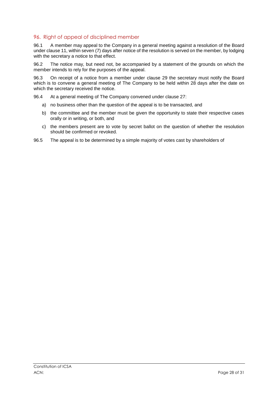#### <span id="page-27-0"></span>96. Right of appeal of disciplined member

96.1 A member may appeal to the Company in a general meeting against a resolution of the Board under clause 11, within seven (7) days after notice of the resolution is served on the member, by lodging with the secretary a notice to that effect.

96.2 The notice may, but need not, be accompanied by a statement of the grounds on which the member intends to rely for the purposes of the appeal.

96.3 On receipt of a notice from a member under clause 29 the secretary must notify the Board which is to convene a general meeting of The Company to be held within 28 days after the date on which the secretary received the notice.

96.4 At a general meeting of The Company convened under clause 27:

- a) no business other than the question of the appeal is to be transacted, and
- b) the committee and the member must be given the opportunity to state their respective cases orally or in writing, or both, and
- c) the members present are to vote by secret ballot on the question of whether the resolution should be confirmed or revoked.
- 96.5 The appeal is to be determined by a simple majority of votes cast by shareholders of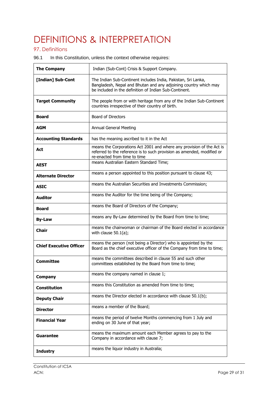# <span id="page-28-0"></span>DEFINITIONS & INTERPRETATION

#### <span id="page-28-1"></span>97. Definitions

96.1 In this Constitution, unless the context otherwise requires:

| <b>The Company</b>             | Indian (Sub-Cont) Crisis & Support Company.                                                                                                                                                 |
|--------------------------------|---------------------------------------------------------------------------------------------------------------------------------------------------------------------------------------------|
| [Indian] Sub-Cont              | The Indian Sub-Continent includes India, Pakistan, Sri Lanka,<br>Bangladesh, Nepal and Bhutan and any adjoining country which may<br>be included in the definition of Indian Sub-Continent. |
| <b>Target Community</b>        | The people from or with heritage from any of the Indian Sub-Continent<br>countries irrespective of their country of birth.                                                                  |
| Board                          | Board of Directors                                                                                                                                                                          |
| AGM                            | Annual General Meeting                                                                                                                                                                      |
| <b>Accounting Standards</b>    | has the meaning ascribed to it in the Act                                                                                                                                                   |
| Act                            | means the Corporations Act 2001 and where any provision of the Act is<br>referred to the reference is to such provision as amended, modified or<br>re-enacted from time to time             |
| <b>AEST</b>                    | means Australian Eastern Standard Time;                                                                                                                                                     |
| <b>Alternate Director</b>      | means a person appointed to this position pursuant to clause 43;                                                                                                                            |
| <b>ASIC</b>                    | means the Australian Securities and Investments Commission;                                                                                                                                 |
| <b>Auditor</b>                 | means the Auditor for the time being of the Company;                                                                                                                                        |
| Board                          | means the Board of Directors of the Company;                                                                                                                                                |
| <b>By-Law</b>                  | means any By-Law determined by the Board from time to time;                                                                                                                                 |
| Chair                          | means the chairwoman or chairman of the Board elected in accordance<br>with clause $50.1(a)$ ;                                                                                              |
| <b>Chief Executive Officer</b> | means the person (not being a Director) who is appointed by the<br>Board as the chief executive officer of the Company from time to time;                                                   |
| <b>Committee</b>               | means the committees described in clause 55 and such other<br>committees established by the Board from time to time;                                                                        |
| <b>Company</b>                 | means the company named in clause 1;                                                                                                                                                        |
| <b>Constitution</b>            | means this Constitution as amended from time to time;                                                                                                                                       |
| <b>Deputy Chair</b>            | means the Director elected in accordance with clause 50.1(b);                                                                                                                               |
| <b>Director</b>                | means a member of the Board;                                                                                                                                                                |
| <b>Financial Year</b>          | means the period of twelve Months commencing from 1 July and<br>ending on 30 June of that year;                                                                                             |
| Guarantee                      | means the maximum amount each Member agrees to pay to the<br>Company in accordance with clause 7;                                                                                           |
| <b>Industry</b>                | means the liquor industry in Australia;                                                                                                                                                     |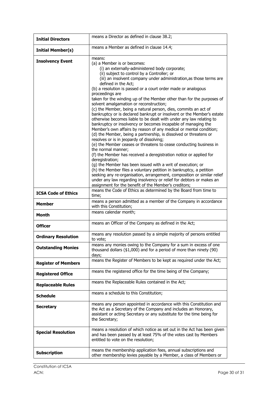| <b>Initial Directors</b>   | means a Director as defined in clause 38.2;                                                                                                                                                                                                                                                                                                                                                                                                                                                                                                                                                                                                                                                                                                                                                                                                                                                                                                                                                                                                                                                                                                                                                                                                                                                                                                                                                                                                                      |
|----------------------------|------------------------------------------------------------------------------------------------------------------------------------------------------------------------------------------------------------------------------------------------------------------------------------------------------------------------------------------------------------------------------------------------------------------------------------------------------------------------------------------------------------------------------------------------------------------------------------------------------------------------------------------------------------------------------------------------------------------------------------------------------------------------------------------------------------------------------------------------------------------------------------------------------------------------------------------------------------------------------------------------------------------------------------------------------------------------------------------------------------------------------------------------------------------------------------------------------------------------------------------------------------------------------------------------------------------------------------------------------------------------------------------------------------------------------------------------------------------|
| <b>Initial Member(s)</b>   | means a Member as defined in clause 14.4;                                                                                                                                                                                                                                                                                                                                                                                                                                                                                                                                                                                                                                                                                                                                                                                                                                                                                                                                                                                                                                                                                                                                                                                                                                                                                                                                                                                                                        |
| <b>Insolvency Event</b>    | means:<br>(a) a Member is or becomes:<br>(i) an externally-administered body corporate;<br>(ii) subject to control by a Controller; or<br>(iii) an insolvent company under administration, as those terms are<br>defined in the Act;<br>(b) a resolution is passed or a court order made or analogous<br>proceedings are<br>taken for the winding up of the Member other than for the purposes of<br>solvent amalgamation or reconstruction;<br>(c) the Member, being a natural person, dies, commits an act of<br>bankruptcy or is declared bankrupt or insolvent or the Member's estate<br>otherwise becomes liable to be dealt with under any law relating to<br>bankruptcy or insolvency or becomes incapable of managing the<br>Member's own affairs by reason of any medical or mental condition;<br>(d) the Member, being a partnership, is dissolved or threatens or<br>resolves or is in jeopardy of dissolving;<br>(e) the Member ceases or threatens to cease conducting business in<br>the normal manner;<br>(f) the Member has received a deregistration notice or applied for<br>deregistration;<br>(g) the Member has been issued with a writ of execution; or<br>(h) the Member files a voluntary petition in bankruptcy, a petition<br>seeking any re-organisation, arrangement, composition or similar relief<br>under any law regarding insolvency or relief for debtors or makes an<br>assignment for the benefit of the Member's creditors; |
| <b>ICSA Code of Ethics</b> | means the Code of Ethics as determined by the Board from time to<br>time;<br>means a person admitted as a member of the Company in accordance                                                                                                                                                                                                                                                                                                                                                                                                                                                                                                                                                                                                                                                                                                                                                                                                                                                                                                                                                                                                                                                                                                                                                                                                                                                                                                                    |
| <b>Member</b>              | with this Constitution;                                                                                                                                                                                                                                                                                                                                                                                                                                                                                                                                                                                                                                                                                                                                                                                                                                                                                                                                                                                                                                                                                                                                                                                                                                                                                                                                                                                                                                          |
| <b>Month</b>               | means calendar month;                                                                                                                                                                                                                                                                                                                                                                                                                                                                                                                                                                                                                                                                                                                                                                                                                                                                                                                                                                                                                                                                                                                                                                                                                                                                                                                                                                                                                                            |
| <b>Officer</b>             | means an Officer of the Company as defined in the Act;                                                                                                                                                                                                                                                                                                                                                                                                                                                                                                                                                                                                                                                                                                                                                                                                                                                                                                                                                                                                                                                                                                                                                                                                                                                                                                                                                                                                           |
| <b>Ordinary Resolution</b> | means any resolution passed by a simple majority of persons entitled<br>to vote;                                                                                                                                                                                                                                                                                                                                                                                                                                                                                                                                                                                                                                                                                                                                                                                                                                                                                                                                                                                                                                                                                                                                                                                                                                                                                                                                                                                 |
| <b>Outstanding Monies</b>  | means any monies owing to the Company for a sum in excess of one<br>thousand dollars (\$1,000) and for a period of more than ninety (90)<br>days;                                                                                                                                                                                                                                                                                                                                                                                                                                                                                                                                                                                                                                                                                                                                                                                                                                                                                                                                                                                                                                                                                                                                                                                                                                                                                                                |
| <b>Register of Members</b> | means the Register of Members to be kept as required under the Act;                                                                                                                                                                                                                                                                                                                                                                                                                                                                                                                                                                                                                                                                                                                                                                                                                                                                                                                                                                                                                                                                                                                                                                                                                                                                                                                                                                                              |
| <b>Registered Office</b>   | means the registered office for the time being of the Company;                                                                                                                                                                                                                                                                                                                                                                                                                                                                                                                                                                                                                                                                                                                                                                                                                                                                                                                                                                                                                                                                                                                                                                                                                                                                                                                                                                                                   |
| <b>Replaceable Rules</b>   | means the Replaceable Rules contained in the Act;                                                                                                                                                                                                                                                                                                                                                                                                                                                                                                                                                                                                                                                                                                                                                                                                                                                                                                                                                                                                                                                                                                                                                                                                                                                                                                                                                                                                                |
| <b>Schedule</b>            | means a schedule to this Constitution;                                                                                                                                                                                                                                                                                                                                                                                                                                                                                                                                                                                                                                                                                                                                                                                                                                                                                                                                                                                                                                                                                                                                                                                                                                                                                                                                                                                                                           |
| <b>Secretary</b>           | means any person appointed in accordance with this Constitution and<br>the Act as a Secretary of the Company and includes an Honorary,<br>assistant or acting Secretary or any substitute for the time being for<br>the Secretary;                                                                                                                                                                                                                                                                                                                                                                                                                                                                                                                                                                                                                                                                                                                                                                                                                                                                                                                                                                                                                                                                                                                                                                                                                               |
| <b>Special Resolution</b>  | means a resolution of which notice as set out in the Act has been given<br>and has been passed by at least 75% of the votes cast by Members<br>entitled to vote on the resolution;                                                                                                                                                                                                                                                                                                                                                                                                                                                                                                                                                                                                                                                                                                                                                                                                                                                                                                                                                                                                                                                                                                                                                                                                                                                                               |
| <b>Subscription</b>        | means the membership application fees, annual subscriptions and<br>other membership levies payable by a Member, a class of Members or                                                                                                                                                                                                                                                                                                                                                                                                                                                                                                                                                                                                                                                                                                                                                                                                                                                                                                                                                                                                                                                                                                                                                                                                                                                                                                                            |